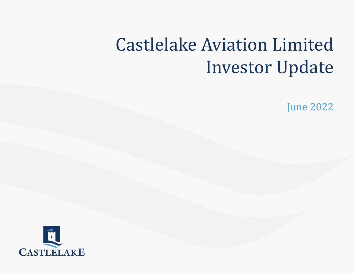## Click to edit Master subtitle style Castlelake Aviation Limited Investor Update

June 2022

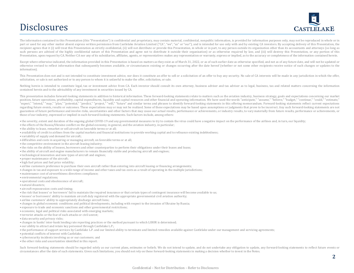### **Disclosures**



The information contained in this Presentation (this "Presentation") is confidential and proprietary, may contain material, confidential, nonpublic information, is provided for information purposes only, may not be reprodu part or used for any other matter absent express written permission from Castlelake Aviation Limited ("CA", "we", "us" or "our"), and is intended for use only with and by existing CA investors. By accepting delivery of thi recipient agrees that it (i) will treat this Presentation as strictly confidential, (ii) will not distribute or provide this Presentation, in whole or in part, to any person outside its organization other than its accounta such persons are advised of the highly confidential nature of this Presentation and agree not to distribute it outside their organization) or as otherwise required by law, and (iii) will destroy this Presentation, or any p Presentation, upon request by CA. Neither CA nor any of its subsidiaries, affiliates, agents, or representatives makes any representation or warranty, express or implied, as to the accuracy or completeness of the informati

Except where otherwise indicated, the information provided in this Presentation is based on matters as they exist as of March 31, 2022, or as of such earlier date as otherwise specified, and not as of any future date, and otherwise revised to reflect information that subsequently becomes available, or circumstances existing or changes occurring after the date hereof (whether or not some other recipients receive notice of such changes or upd information).

This Presentation does not and is not intended to constitute investment advice, nor does it constitute an offer to sell or a solicitation of an offer to buy any security. No sale of CA interests will be made in any jurisdi solicitation, or sale is not authorized or to any person to whom it is unlawful to make the offer, solicitation, or sale.

Nothing herein is intended to constitute legal, tax or investment advice from CA. Each investor should consult its own attorney, business adviser and tax adviser as to legal, business, tax and related matters concerning th contained herein and to the advisability of any investment in securities issued by CA.

This presentation includes forward-looking statements in addition to historical information. These forward-looking statements relate to matters such as the aviation industry, business strategy, goals and expectations conce position, future operations, profitability, capital expenditures, liquidity and capital resources and other financial and operating information. We have used the words "anticipate," "assume," "believe," "budget," "continue "expect," "intend," "may," "plan," "potential," "predict," "project," "will," "future" and similar terms and phrases to identify forward-looking statements in this offering memorandum. Forward-looking statements reflect cu regarding future events, results or outcomes. These expectations may or may not be realized. Some of these expectations may be based upon assumptions or judgments that prove to be incorrect. Any such forward-looking statem guarantees of future performance and involve risks, uncertainties and other factors that may cause our actual results, performance or achievements, or industry results, to vary materially from future results, performance o those of our industry, expressed or implied in such forward-looking statements. Such factors include, among others:

- the severity, extent and duration of the ongoing global COVID-19 and any governmental measures to try to contain the virus could have a negative impact on the performance of the airlines and, in turn, our liquidity;
- the effects of the Russia/Ukraine conflict on the global economy, in general, and the aviation industry, in particular;
- the ability to lease, remarket or sell aircraft on favorable terms or at all;
- availability of credit to airlines from the capital markets and financial institutions to provide working capital and to refinance existing indebtedness;
- variability of supply and demand for aircraft;
- difficulties and costs in acquiring or managing aircraft, on favorable terms or at all;
- the competitive environment in the aircraft leasing industry;
- the risks on the ability of lessees, borrowers and other counterparties to perform their obligations under their leases and loans;
- the ability of aircraft and engine manufacturers to remain financially stable and producing aircraft and engines;
- technological innovation and new types of aircraft and engines;
- proper maintenance of the aircraft;
- high fuel prices and fuel price volatility;
- airline customers preference to purchase their own aircraft rather than entering into aircraft leasing or financing arrangements;
- changes in tax and exposure to a wide range of income and other taxes and tax costs as a result of operating in the multiple jurisdictions;
- maintenance cost of airworthiness directives compliance;
- environmental regulations;
- operational costs and obsolescence of aircraft;
- natural disasters;
- aircraft repossession costs and timing;
- the risk that lessees' or borrowers' fail to maintain the required insurance or that certain types of contingent insurance will become available to us;
- lessees' or borrowers' ability to maintain aircraft duly registered with the appropriate governmental civil aviation authority;
- airline customers' ability to appropriately discharge aircraft liens;
- changes in global economic conditions and political developments, including with respect to the invasion of Ukraine by Russia;
- exposure to trade and economic sanctions and other governmental restrictions;
- economic, legal and political risks associated with emerging markets;
- terrorist attacks or the fear of such attacks or civil unrest;
- data security and privacy risks;
- changes in banks' inter-bank lending rate reporting practices or the method pursuant to which LIBOR is determined;
- our ability to attract and retain key personnel through Castlelake L.P.;
- the performance of support services by Castlelake L.P. and our limited ability to terminate and limited remedies available against Castlelake under our management and servicing agreements;
- potential conflicts of interest with Castlelake;
- cybersecurity incidents involving us or our customers; and
- the other risks and uncertainties identified in this report.

Such forward-looking statements should be regarded solely as our current plans, estimates or beliefs. We do not intend to update, and do not undertake any obligation to update, any forward-looking statements to reflect fut circumstances after the date of such statements. Given such limitations, you should not rely on these forward-looking statements in making a decision whether to invest in the Notes.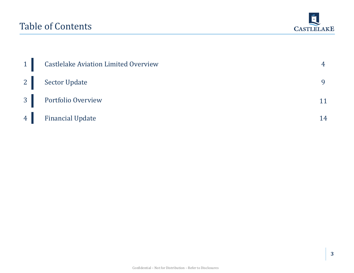### Table of Contents



| 1 | <b>Castlelake Aviation Limited Overview</b> |    |
|---|---------------------------------------------|----|
|   | 2 Sector Update                             |    |
|   | 3 Portfolio Overview                        |    |
|   | 4 Financial Update                          | 14 |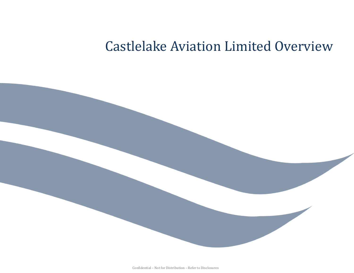## Castlelake Aviation Limited Overview

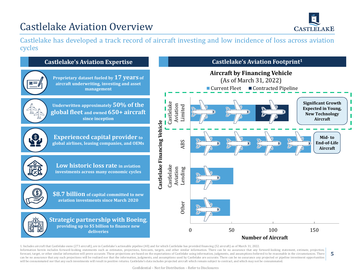## Castlelake Aviation Overview



**5**

Castlelake has developed a track record of aircraft investing and low incidence of loss across aviation cycles



1. Includes aircraft that Castlelake owns (273 aircraft), are in Castlelake's actionable pipeline (40) and for which Castlelake has provided financing (52 aircraft) as of March 31, 2022. Information herein includes forward-looking statements such as estimates, projections, forecasts, targets, and other similar information. There can be no assurance that any forward-looking statement, estimate, projection, forecast, target, or other similar information will prove accurate. These projections are based on the expectations of Castlelake using information, judgments, and assumptions believed to be reasonable in the circumstances can be no assurance that any such projections will be realized nor that the information, judgments, and assumptions used by Castlelake are accurate. There can be no assurance any projected or pipeline investment opportunit will be consummated nor that any such investments will result in positive returns. Castlelake's data includes projected aircraft which remain subject to contract, and which may not be consummated.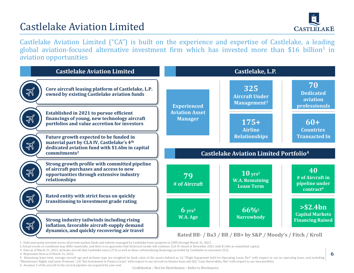## Castlelake Aviation Limited



Castlelake Aviation Limited ("CA") is built on the experience and expertise of Castlelake, a leading global aviation-focused alternative investment firm which has invested more than \$16 billion<sup>1</sup> in aviation opportunities



<sup>1.</sup> Debt and equity invested across all private market funds and vehicles managed by Castlelake from inception in 2005 through March 31, 2022.

3. Data as of March 31, 2022; includes aircraft that Castlelake owns (273) as well as those collateralizing financings provided by Castlelake to customers (52).

5. Remaining lease term, average aircraft age and airframe type are weighted by book value of the assets defined as: (i) "Flight Equipment held for Operating Lease, Net" with respect to our on operating lease, and excluding "Maintenance Rights and Lease Premium", (ii) "Net Investment in Finance Lease" with respect to our aircraft on finance lease and (iii) "Loan Receivables, Net" with respect to our loan portfolio.

<sup>2.</sup> Actual events or conditions may differ materially, and there is no guarantee that historical trends will continue. CLA IV closed in December 2021 with \$1.6bn in committed capital..

<sup>4.</sup> Represents fleet as of March 31, 2022.

<sup>6.</sup> Assumes 5 of the aircraft in the current pipeline are acquired by year-end.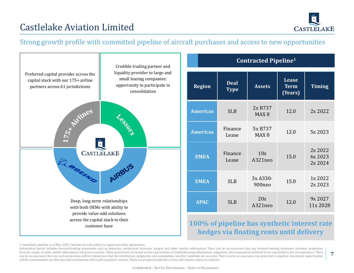

**7**

### Castlelake Aviation Limited

#### Strong growth profile with committed pipeline of aircraft purchases and access to new opportunities



1. Immediate pipeline as of May 2022. Includes aircraft subject to signed purchase agreements.

Information herein includes forward-looking statements such as estimates, projections, forecasts, targets, and other similar information. There can be no assurance that any forward-looking statement, estimate, projection, forecast, target, or other similar information will prove accurate. These projections are based on the expectations of Castlelake using information, judgments, and assumptions believed to be reasonable in the circumstances can be no assurance that any such projections will be realized nor that the information, judgments, and assumptions used by Castlelake are accurate. There can be no assurance any projected or pipeline investment opportunit will be consummated nor that any such investments will result in positive returns. These are proposed indicative terms and remain subject to contract.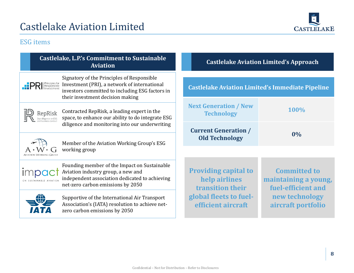

#### ESG items

|  | Castlelake, L.P.'s Commitment to Sustainable<br><b>Aviation</b>                                                                                                                                                              |                                                                         | <b>Castlelake Aviation Limited's Approach</b>           |                                                                   |  |
|--|------------------------------------------------------------------------------------------------------------------------------------------------------------------------------------------------------------------------------|-------------------------------------------------------------------------|---------------------------------------------------------|-------------------------------------------------------------------|--|
|  | Signatory of the Principles of Responsible<br>Investment (PRI), a network of international<br><b>PRI</b> Principles for<br>investors committed to including ESG factors in<br>their investment decision making               |                                                                         | <b>Castlelake Aviation Limited's Immediate Pipeline</b> |                                                                   |  |
|  | Contracted RepRisk, a leading expert in the<br>RepRisk<br>space, to enhance our ability to do integrate ESG<br>diligence and monitoring into our underwriting<br>Member of the Aviation Working Group's ESG<br>working group |                                                                         | <b>Next Generation / New</b><br><b>Technology</b>       | <b>100%</b>                                                       |  |
|  |                                                                                                                                                                                                                              |                                                                         | <b>Current Generation /</b><br><b>Old Technology</b>    | $0\%$                                                             |  |
|  |                                                                                                                                                                                                                              |                                                                         |                                                         |                                                                   |  |
|  | Founding member of the Impact on Sustainable<br>Aviation industry group, a new and<br>independent association dedicated to achieving<br>net-zero carbon emissions by 2050                                                    | <b>Providing capital to</b><br>help airlines<br><b>transition their</b> |                                                         | <b>Committed to</b><br>maintaining a young,<br>fuel-efficient and |  |
|  | Supportive of the International Air Transport<br>Association's (IATA) resolution to achieve net-<br>zero carbon emissions by 2050                                                                                            |                                                                         | global fleets to fuel-<br>efficient aircraft            | new technology<br>aircraft portfolio                              |  |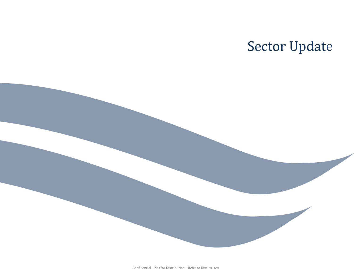## Sector Update

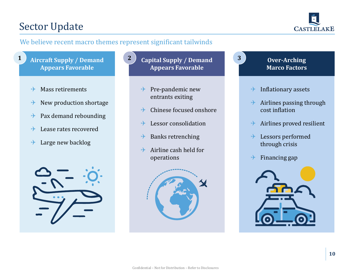### Sector Update



#### We believe recent macro themes represent significant tailwinds

- **Aircraft Supply / Demand Appears Favorable**
	- $\rightarrow$  Mass retirements
	- $\rightarrow$  New production shortage
	- $\rightarrow$  Pax demand rebounding
	- $\rightarrow$  Lease rates recovered
	- $\rightarrow$  Large new backlog



- **1 Capital Supply / Demand 2 Over-Arching Appears Favorable**
	- $\rightarrow$  Pre-pandemic new entrants exiting
	- $\rightarrow$  Chinese focused onshore
	- $\rightarrow$  Lessor consolidation
	- $\rightarrow$  Banks retrenching
	- $\rightarrow$  Airline cash held for operations





**3**

- $\rightarrow$  Inflationary assets
- $\rightarrow$  Airlines passing through cost inflation
- $\rightarrow$  Airlines proved resilient
- $\rightarrow$  Lessors performed through crisis
- $\rightarrow$  Financing gap

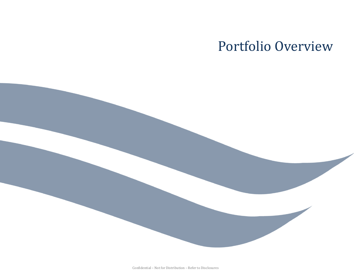## Portfolio Overview

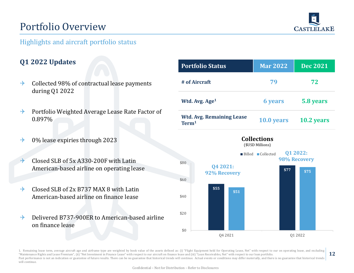## Portfolio Overview



#### Highlights and aircraft portfolio status

#### **Q1 2022 Updates**

- $\rightarrow$  Collected 98% of contractual lease payments during Q1 2022
- $\rightarrow$  Portfolio Weighted Average Lease Rate Factor of 0.897%
- $\rightarrow$  0% lease expiries through 2023
- $\rightarrow$  Closed SLB of 5x A330-200F with Latin American-based airline on operating lease
- $\rightarrow$  Closed SLB of 2x B737 MAX 8 with Latin American-based airline on finance lease
- Delivered B737-900ER to American-based airline on finance lease

| <b>Portfolio Status</b>                               | <b>Mar 2022</b> | <b>Dec 2021</b> |
|-------------------------------------------------------|-----------------|-----------------|
| # of Aircraft                                         | 79              | 72              |
| Wtd. Avg. Age <sup>1</sup>                            | <b>6 years</b>  | 5.8 years       |
| <b>Wtd. Avg. Remaining Lease</b><br>Term <sup>1</sup> | 10.0 years      | 10.2 years      |



**12** 1. Remaining lease term, average aircraft age and airframe type are weighted by book value of the assets defined as: (i) "Flight Equipment held for Operating Lease, Net" with respect to our on operating lease, and excluding "Maintenance Rights and Lease Premium", (ii) "Net Investment in Finance Lease" with respect to our aircraft on finance lease and (iii) "Loan Receivables, Net" with respect to our loan portfolio. Past performance is not an indication or guarantee of future results. There can be no guarantee that historical trends will continue. Actual events or conditions may differ materially, and there is no guarantee that histor will continue.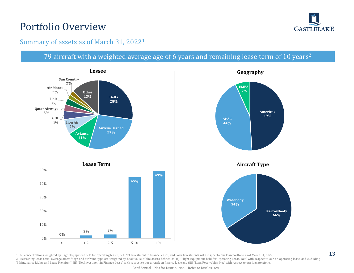## Portfolio Overview



#### Summary of assets as of March 31, 2022<sup>1</sup>

#### 79 aircraft with a weighted average age of 6 years and remaining lease term of 10 years<sup>2</sup>



1. All concentrations weighted by Flight Equipment held for operating leases, net; Net Investment in finance leases; and Loan Investments with respect to our loan portfolio as of March 31, 2022.

2. Remaining lease term, average aircraft age and airframe type are weighted by book value of the assets defined as: (i) "Flight Equipment held for Operating Lease, Net" with respect to our on operating lease, and excluding "Maintenance Rights and Lease Premium", (ii) "Net Investment in Finance Lease" with respect to our aircraft on finance lease and (iii) "Loan Receivables, Net" with respect to our loan portfolio.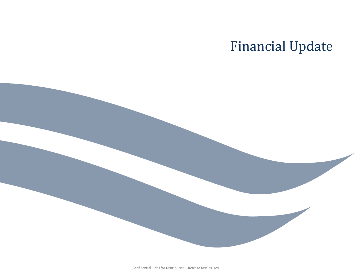## Financial Update

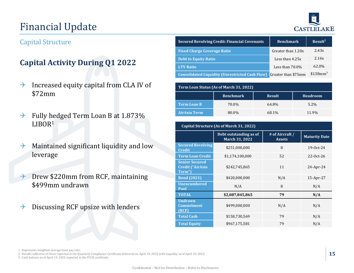## Financial Update

# **CASTLELAKE**

#### Capital Structure

#### **Capital Activity During Q1 2022**

- $\rightarrow$  Increased equity capital from CLA IV of \$72mm
- $\rightarrow$  Fully hedged Term Loan B at 1.873% LIBOR<sup>1</sup>
- $\rightarrow$  Maintained significant liquidity and low leverage
- $\rightarrow$  Drew \$220mm from RCF, maintaining \$499mm undrawn
- $\rightarrow$  Discussing RCF upsize with lenders

| <b>Secured Revolving Credit: Financial Covenants</b>   | <b>Benchmark</b>    | Result <sup>2</sup>  |
|--------------------------------------------------------|---------------------|----------------------|
| <b>Fixed Charge Coverage Ratio</b>                     | Greater than 1.20x  | 2.43x                |
| <b>Debt to Equity Ratio</b>                            | Less than 4.25x     | 2.16x                |
| <b>LTV Ratio</b>                                       | Less than $70.0\%$  | 62.0%                |
| <b>Consolidated Liquidity (Unrestricted Cash Flow)</b> | Greater than \$75mm | \$138mm <sup>3</sup> |

| Term Loan Status (As of March 31, 2022) |                  |               |                 |  |
|-----------------------------------------|------------------|---------------|-----------------|--|
|                                         | <b>Benchmark</b> | <b>Result</b> | <b>Headroom</b> |  |
| <b>Term Loan B</b>                      | 70.0%            | 64.8%         | 5.2%            |  |
| <b>AirAsia Term</b>                     | 80.0%            | 68.1%         | 11.9%           |  |

| Capital Structure (As of March 31, 2022)                   |                                                 |                                  |                      |  |
|------------------------------------------------------------|-------------------------------------------------|----------------------------------|----------------------|--|
|                                                            | Debt outstanding as of<br><b>March 31, 2022</b> | # of Aircraft /<br><b>Assets</b> | <b>Maturity Date</b> |  |
| <b>Secured Revolving</b><br>Credit                         | \$251,000,000                                   | 8                                | 19-0ct-24            |  |
| <b>Term Loan Credit</b>                                    | \$1,174,100,000                                 | 52                               | $22-0ct-26$          |  |
| <b>Senior Secured</b><br><b>Credit ("AirAsia</b><br>Term") | \$242,745,865                                   | 11                               | $24$ -Apr-24         |  |
| <b>Bond (2021)</b>                                         | \$420,000,000                                   | N/A                              | $15$ -Apr-27         |  |
| <b>Unencumbered</b><br>Pool                                | N/A                                             | 8                                | N/A                  |  |
| <b>TOTAL</b>                                               | \$2,087,845,865                                 | 79                               | N/A                  |  |
| <b>Undrawn</b><br><b>Commitment</b><br>(RCF)               | \$499,000,000                                   | N/A                              | N/A                  |  |
| <b>Total Cash</b>                                          | \$158,730,569                                   | 79                               | N/A                  |  |
| <b>Total Equity</b>                                        | \$967,175,581                                   | 79                               | N/A                  |  |

2. Results reflective of those reported in the Quarterly Compliance Certificate delivered on April 19, 2022 with Liquidity as of April 19, 2022.

3. Cash balance as of April 19, 2022 reported in the FCCR certificate.

<sup>1.</sup> Represents weighted average fixed pay rate.